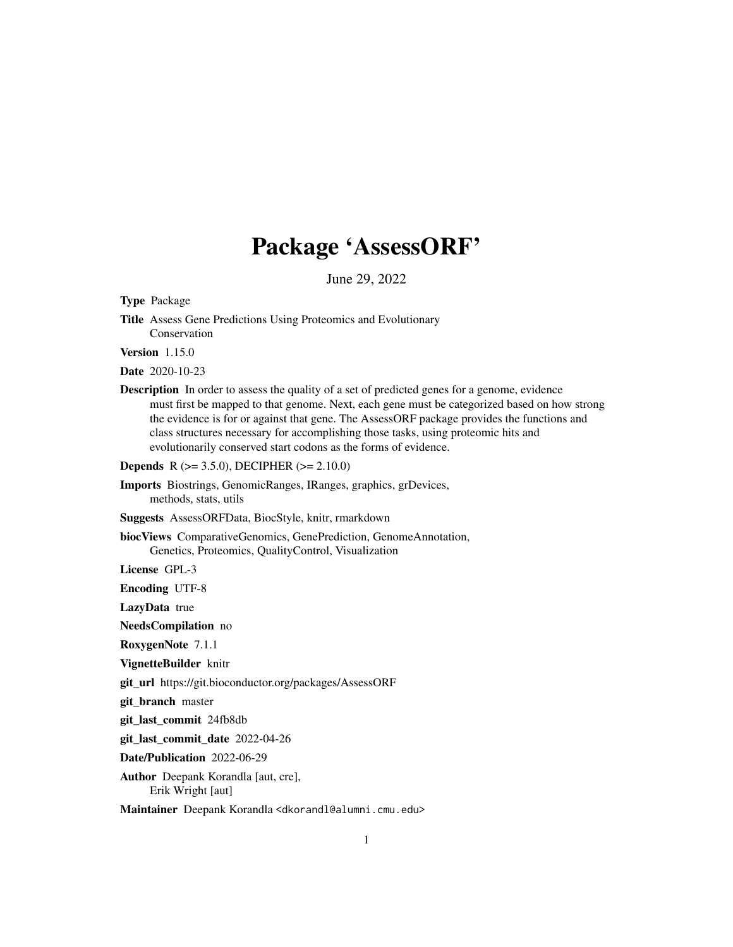## Package 'AssessORF'

June 29, 2022

<span id="page-0-0"></span>Type Package

Title Assess Gene Predictions Using Proteomics and Evolutionary Conservation

Version 1.15.0

Date 2020-10-23

Description In order to assess the quality of a set of predicted genes for a genome, evidence must first be mapped to that genome. Next, each gene must be categorized based on how strong the evidence is for or against that gene. The AssessORF package provides the functions and class structures necessary for accomplishing those tasks, using proteomic hits and evolutionarily conserved start codons as the forms of evidence.

Depends R (>= 3.5.0), DECIPHER (>= 2.10.0)

Imports Biostrings, GenomicRanges, IRanges, graphics, grDevices, methods, stats, utils

Suggests AssessORFData, BiocStyle, knitr, rmarkdown

biocViews ComparativeGenomics, GenePrediction, GenomeAnnotation, Genetics, Proteomics, QualityControl, Visualization

License GPL-3

Encoding UTF-8

LazyData true

NeedsCompilation no

RoxygenNote 7.1.1

VignetteBuilder knitr

git\_url https://git.bioconductor.org/packages/AssessORF

git\_branch master

git\_last\_commit 24fb8db

git\_last\_commit\_date 2022-04-26

Date/Publication 2022-06-29

Author Deepank Korandla [aut, cre], Erik Wright [aut]

Maintainer Deepank Korandla <dkorandl@alumni.cmu.edu>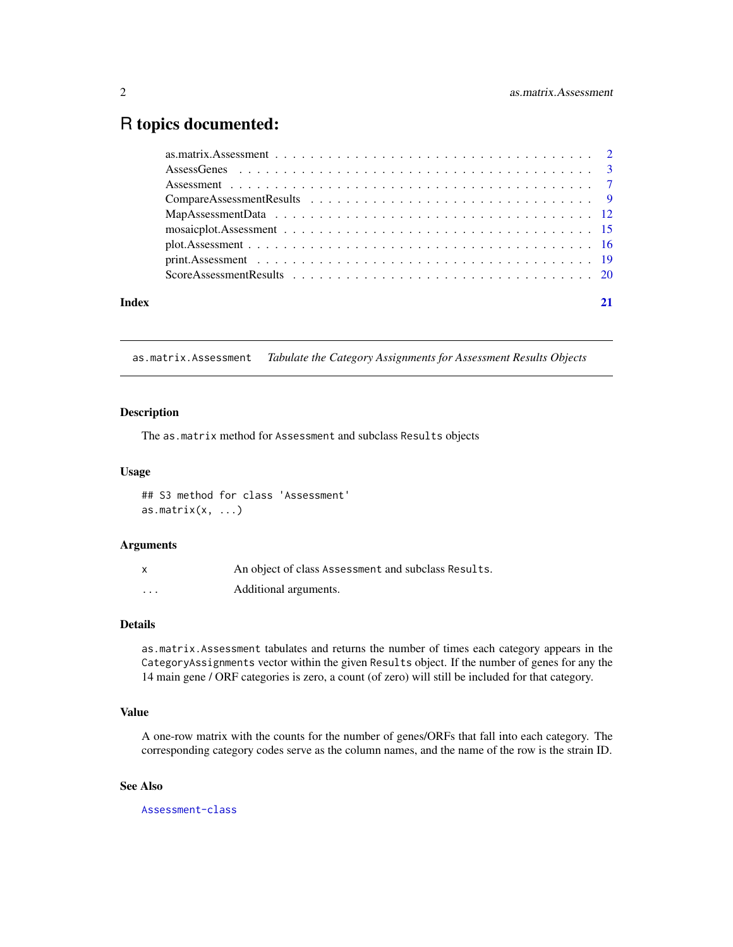### <span id="page-1-0"></span>R topics documented:

| Index |  |
|-------|--|

<span id="page-1-1"></span>as.matrix.Assessment *Tabulate the Category Assignments for Assessment Results Objects*

#### Description

The as.matrix method for Assessment and subclass Results objects

#### Usage

## S3 method for class 'Assessment'  $as.matrix(x, ...)$ 

#### Arguments

|          | An object of class Assessment and subclass Results. |
|----------|-----------------------------------------------------|
| $\cdots$ | Additional arguments.                               |

#### Details

as.matrix.Assessment tabulates and returns the number of times each category appears in the CategoryAssignments vector within the given Results object. If the number of genes for any the 14 main gene / ORF categories is zero, a count (of zero) will still be included for that category.

#### Value

A one-row matrix with the counts for the number of genes/ORFs that fall into each category. The corresponding category codes serve as the column names, and the name of the row is the strain ID.

#### See Also

[Assessment-class](#page-6-1)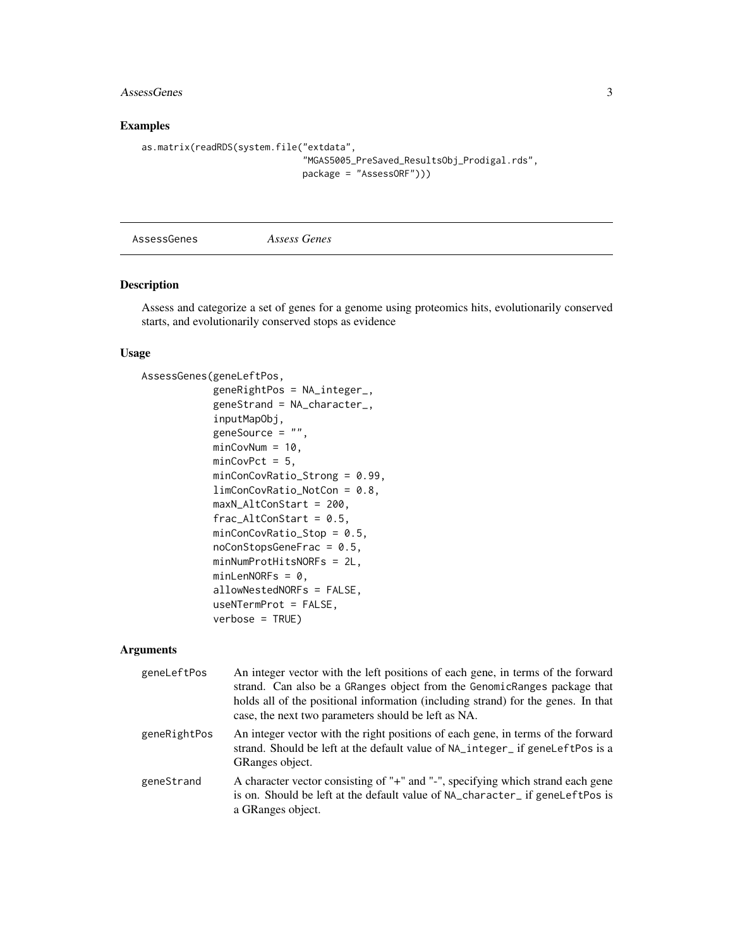#### <span id="page-2-0"></span>AssessGenes 3

#### Examples

```
as.matrix(readRDS(system.file("extdata",
                              "MGAS5005_PreSaved_ResultsObj_Prodigal.rds",
                              package = "AssessORF")))
```
<span id="page-2-1"></span>AssessGenes *Assess Genes*

#### Description

Assess and categorize a set of genes for a genome using proteomics hits, evolutionarily conserved starts, and evolutionarily conserved stops as evidence

#### Usage

```
AssessGenes(geneLeftPos,
            geneRightPos = NA_integer_,
            geneStrand = NA_character_,
            inputMapObj,
            geneSource = "",
            minCovNum = 10,
            minCovPct = 5,
            minConCovRatio_Strong = 0.99,
            limConCovRatio_NotCon = 0.8,
            maxN_AltConStart = 200,
            frac_AltConStart = 0.5,
            minConCovRatio_Stop = 0.5,
            noConStopsGeneFrac = 0.5,
            minNumProtHitsNORFs = 2L,
            minLenNORFs = 0,allowNestedNORFs = FALSE,
            useNTermProt = FALSE,
            verbose = TRUE)
```
#### Arguments

| geneLeftPos  | An integer vector with the left positions of each gene, in terms of the forward<br>strand. Can also be a GRanges object from the GenomicRanges package that<br>holds all of the positional information (including strand) for the genes. In that<br>case, the next two parameters should be left as NA. |
|--------------|---------------------------------------------------------------------------------------------------------------------------------------------------------------------------------------------------------------------------------------------------------------------------------------------------------|
| geneRightPos | An integer vector with the right positions of each gene, in terms of the forward<br>strand. Should be left at the default value of NA_integer_ if geneLeftPos is a<br>GRanges object.                                                                                                                   |
| geneStrand   | A character vector consisting of "+" and "-", specifying which strand each gene<br>is on. Should be left at the default value of NA_character_ if geneLeftPos is<br>a GRanges object.                                                                                                                   |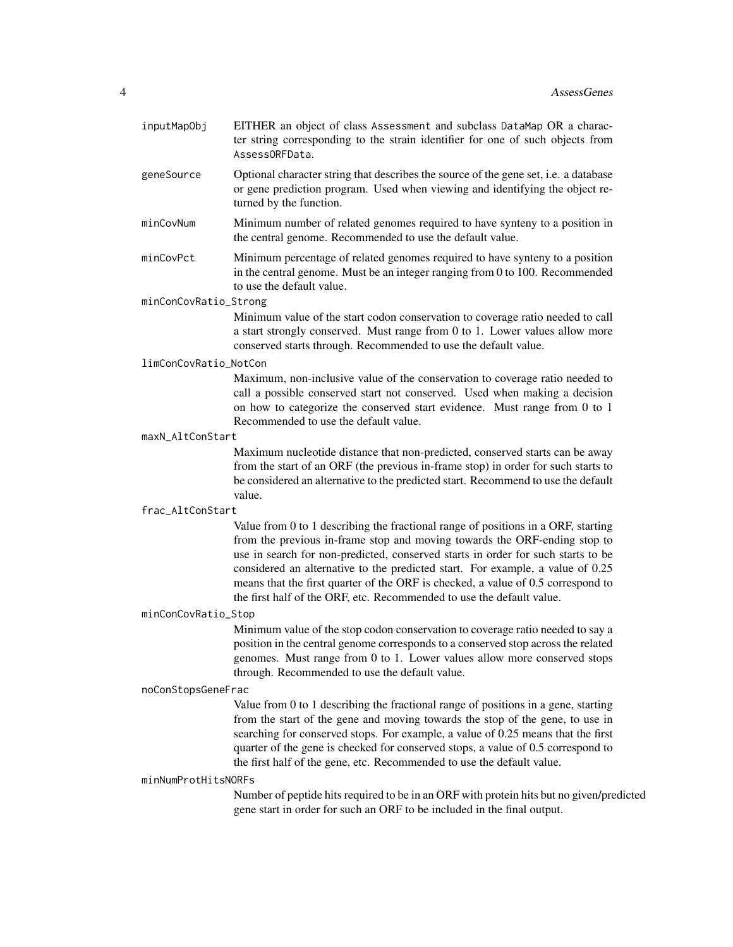- inputMapObj EITHER an object of class Assessment and subclass DataMap OR a character string corresponding to the strain identifier for one of such objects from AssessORFData.
- geneSource Optional character string that describes the source of the gene set, i.e. a database or gene prediction program. Used when viewing and identifying the object returned by the function.
- minCovNum Minimum number of related genomes required to have synteny to a position in the central genome. Recommended to use the default value.
- minCovPct Minimum percentage of related genomes required to have synteny to a position in the central genome. Must be an integer ranging from 0 to 100. Recommended to use the default value.

minConCovRatio\_Strong

Minimum value of the start codon conservation to coverage ratio needed to call a start strongly conserved. Must range from 0 to 1. Lower values allow more conserved starts through. Recommended to use the default value.

#### limConCovRatio\_NotCon

Maximum, non-inclusive value of the conservation to coverage ratio needed to call a possible conserved start not conserved. Used when making a decision on how to categorize the conserved start evidence. Must range from 0 to 1 Recommended to use the default value.

#### maxN\_AltConStart

Maximum nucleotide distance that non-predicted, conserved starts can be away from the start of an ORF (the previous in-frame stop) in order for such starts to be considered an alternative to the predicted start. Recommend to use the default value.

#### frac\_AltConStart

Value from 0 to 1 describing the fractional range of positions in a ORF, starting from the previous in-frame stop and moving towards the ORF-ending stop to use in search for non-predicted, conserved starts in order for such starts to be considered an alternative to the predicted start. For example, a value of 0.25 means that the first quarter of the ORF is checked, a value of 0.5 correspond to the first half of the ORF, etc. Recommended to use the default value.

#### minConCovRatio\_Stop

Minimum value of the stop codon conservation to coverage ratio needed to say a position in the central genome corresponds to a conserved stop across the related genomes. Must range from 0 to 1. Lower values allow more conserved stops through. Recommended to use the default value.

#### noConStopsGeneFrac

Value from 0 to 1 describing the fractional range of positions in a gene, starting from the start of the gene and moving towards the stop of the gene, to use in searching for conserved stops. For example, a value of 0.25 means that the first quarter of the gene is checked for conserved stops, a value of 0.5 correspond to the first half of the gene, etc. Recommended to use the default value.

#### minNumProtHitsNORFs

Number of peptide hits required to be in an ORF with protein hits but no given/predicted gene start in order for such an ORF to be included in the final output.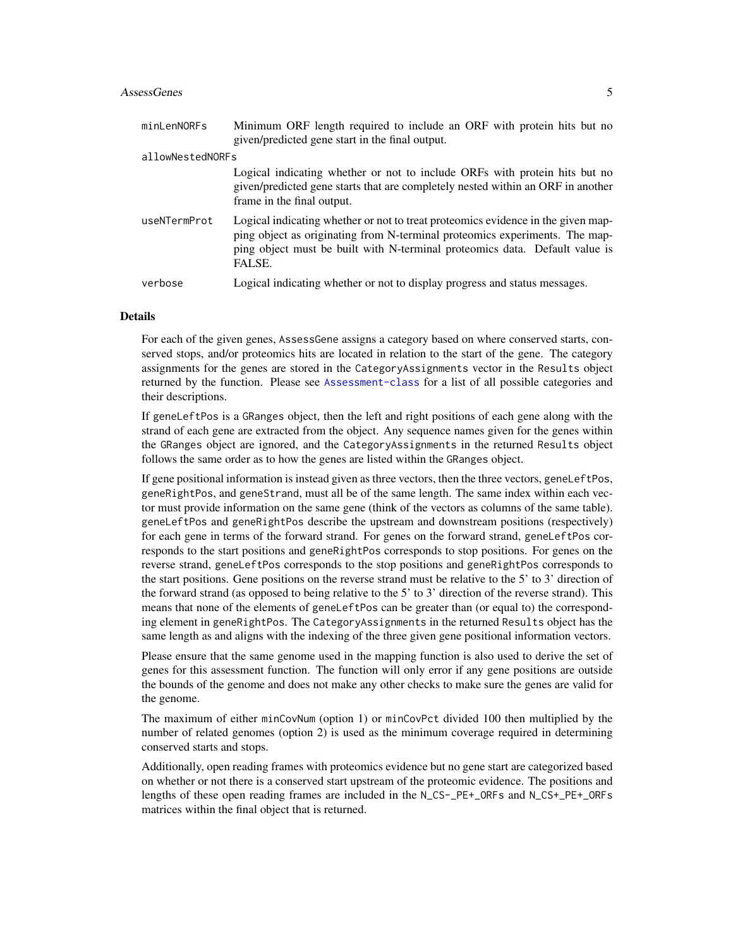#### AssessGenes 5

| minLenNORFs      | Minimum ORF length required to include an ORF with protein hits but no<br>given/predicted gene start in the final output.                                                                                                                                |
|------------------|----------------------------------------------------------------------------------------------------------------------------------------------------------------------------------------------------------------------------------------------------------|
| allowNestedNORFs |                                                                                                                                                                                                                                                          |
|                  | Logical indicating whether or not to include ORFs with protein hits but no<br>given/predicted gene starts that are completely nested within an ORF in another<br>frame in the final output.                                                              |
| useNTermProt     | Logical indicating whether or not to treat proteomics evidence in the given map-<br>ping object as originating from N-terminal proteomics experiments. The map-<br>ping object must be built with N-terminal proteomics data. Default value is<br>FALSE. |
| verbose          | Logical indicating whether or not to display progress and status messages.                                                                                                                                                                               |

#### Details

For each of the given genes, AssessGene assigns a category based on where conserved starts, conserved stops, and/or proteomics hits are located in relation to the start of the gene. The category assignments for the genes are stored in the CategoryAssignments vector in the Results object returned by the function. Please see [Assessment-class](#page-6-1) for a list of all possible categories and their descriptions.

If geneLeftPos is a GRanges object, then the left and right positions of each gene along with the strand of each gene are extracted from the object. Any sequence names given for the genes within the GRanges object are ignored, and the CategoryAssignments in the returned Results object follows the same order as to how the genes are listed within the GRanges object.

If gene positional information is instead given as three vectors, then the three vectors, geneLeftPos, geneRightPos, and geneStrand, must all be of the same length. The same index within each vector must provide information on the same gene (think of the vectors as columns of the same table). geneLeftPos and geneRightPos describe the upstream and downstream positions (respectively) for each gene in terms of the forward strand. For genes on the forward strand, geneLeftPos corresponds to the start positions and geneRightPos corresponds to stop positions. For genes on the reverse strand, geneLeftPos corresponds to the stop positions and geneRightPos corresponds to the start positions. Gene positions on the reverse strand must be relative to the 5' to 3' direction of the forward strand (as opposed to being relative to the 5' to 3' direction of the reverse strand). This means that none of the elements of geneLeftPos can be greater than (or equal to) the corresponding element in geneRightPos. The CategoryAssignments in the returned Results object has the same length as and aligns with the indexing of the three given gene positional information vectors.

Please ensure that the same genome used in the mapping function is also used to derive the set of genes for this assessment function. The function will only error if any gene positions are outside the bounds of the genome and does not make any other checks to make sure the genes are valid for the genome.

The maximum of either minCovNum (option 1) or minCovPct divided 100 then multiplied by the number of related genomes (option 2) is used as the minimum coverage required in determining conserved starts and stops.

Additionally, open reading frames with proteomics evidence but no gene start are categorized based on whether or not there is a conserved start upstream of the proteomic evidence. The positions and lengths of these open reading frames are included in the N\_CS-\_PE+\_ORFs and N\_CS+\_PE+\_ORFs matrices within the final object that is returned.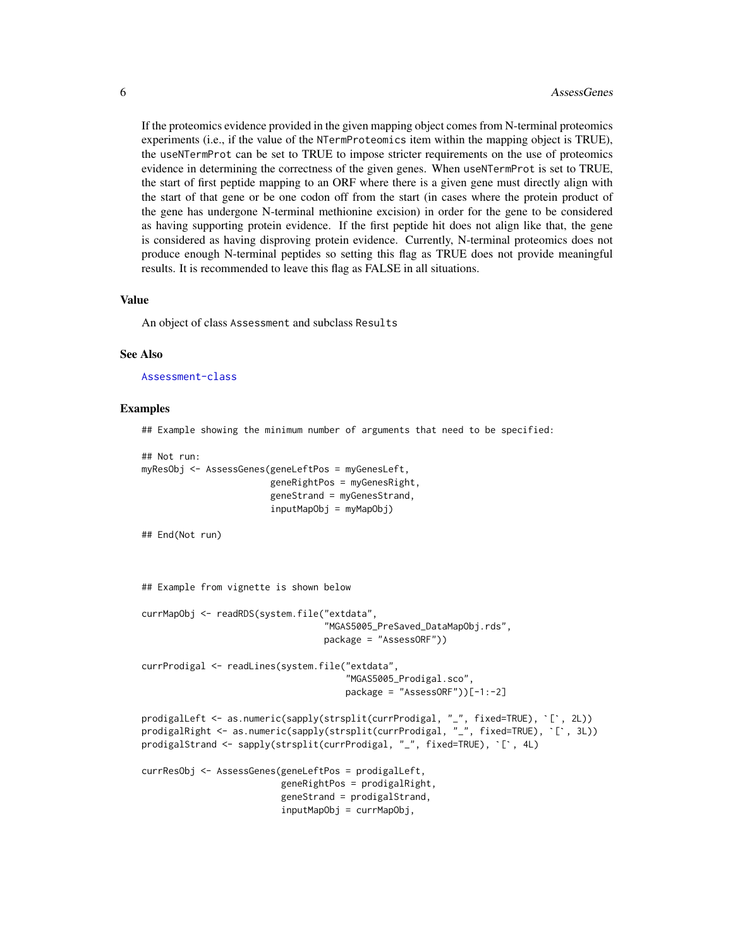If the proteomics evidence provided in the given mapping object comes from N-terminal proteomics experiments (i.e., if the value of the NTermProteomics item within the mapping object is TRUE), the useNTermProt can be set to TRUE to impose stricter requirements on the use of proteomics evidence in determining the correctness of the given genes. When useNTermProt is set to TRUE, the start of first peptide mapping to an ORF where there is a given gene must directly align with the start of that gene or be one codon off from the start (in cases where the protein product of the gene has undergone N-terminal methionine excision) in order for the gene to be considered as having supporting protein evidence. If the first peptide hit does not align like that, the gene is considered as having disproving protein evidence. Currently, N-terminal proteomics does not produce enough N-terminal peptides so setting this flag as TRUE does not provide meaningful results. It is recommended to leave this flag as FALSE in all situations.

#### Value

An object of class Assessment and subclass Results

#### See Also

[Assessment-class](#page-6-1)

#### Examples

## Example showing the minimum number of arguments that need to be specified:

```
## Not run:
myResObj <- AssessGenes(geneLeftPos = myGenesLeft,
                                geneRightPos = myGenesRight,
                                geneStrand = myGenesStrand,
                                inputMapObj = myMapObj)
## End(Not run)
## Example from vignette is shown below
currMapObj <- readRDS(system.file("extdata",
                                               "MGAS5005_PreSaved_DataMapObj.rds",
                                              package = "AssessORF"))
currProdigal <- readLines(system.file("extdata",
                                                    "MGAS5005_Prodigal.sco",
                                                   package = "AssessORF"))[-1:-2]
prodigalLeft <- as.numeric(sapply(strsplit(currProdigal, "_", fixed=TRUE), `[`, 2L))
package = "AssessORF"))[-1:-2]<br>prodigalLeft <- as.numeric(sapply(strsplit(currProdigal, "_", fixed=TRUE), `[`, 2L))<br>prodigalRight <- as.numeric(sapply(strsplit(currProdigal, "_", fixed=TRUE), `[`, 3L))
prodigalLeft <- as.numeric(sapply(strsplit(currProdigal, "_", fixed=TRUE),<br>prodigalRight <- as.numeric(sapply(strsplit(currProdigal, "_", fixed=TRUE)<br>prodigalStrand <- sapply(strsplit(currProdigal, "_", fixed=TRUE), `[`, 4
currResObj <- AssessGenes(geneLeftPos = prodigalLeft,
                                   geneRightPos = prodigalRight,
                                   geneStrand = prodigalStrand,
                                   inputMapObj = currMapObj,
```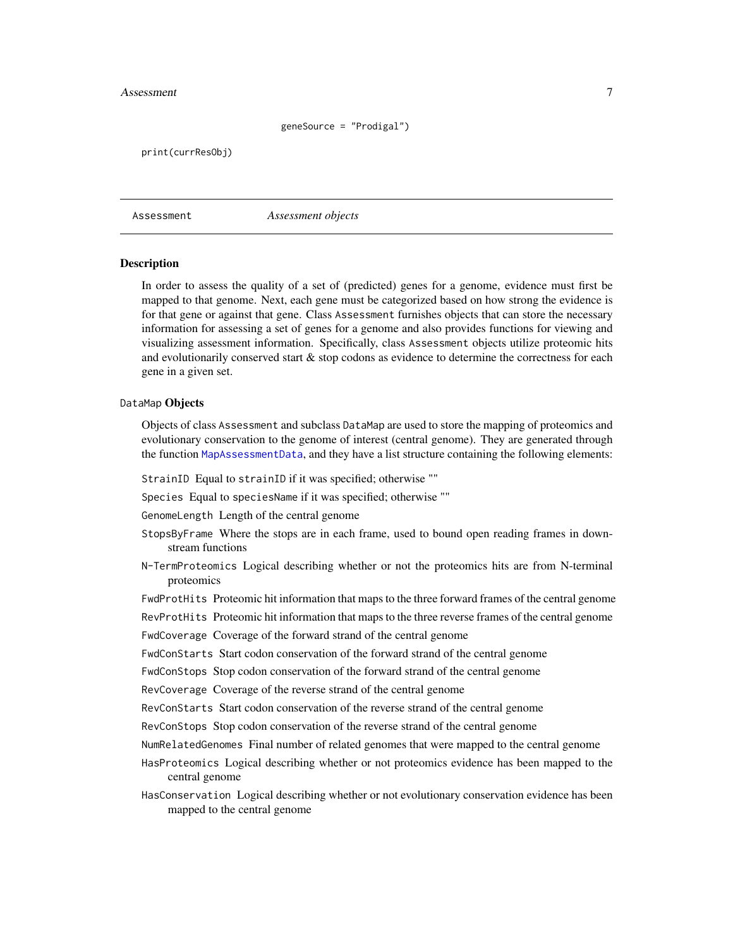#### <span id="page-6-0"></span>Assessment 7

#### geneSource = "Prodigal")

print(currResObj)

Assessment *Assessment objects*

#### <span id="page-6-1"></span>**Description**

In order to assess the quality of a set of (predicted) genes for a genome, evidence must first be mapped to that genome. Next, each gene must be categorized based on how strong the evidence is for that gene or against that gene. Class Assessment furnishes objects that can store the necessary information for assessing a set of genes for a genome and also provides functions for viewing and visualizing assessment information. Specifically, class Assessment objects utilize proteomic hits and evolutionarily conserved start & stop codons as evidence to determine the correctness for each gene in a given set.

#### DataMap Objects

Objects of class Assessment and subclass DataMap are used to store the mapping of proteomics and evolutionary conservation to the genome of interest (central genome). They are generated through the function [MapAssessmentData](#page-11-1), and they have a list structure containing the following elements:

StrainID Equal to strainID if it was specified; otherwise ""

Species Equal to speciesName if it was specified; otherwise ""

GenomeLength Length of the central genome

- StopsByFrame Where the stops are in each frame, used to bound open reading frames in downstream functions
- N-TermProteomics Logical describing whether or not the proteomics hits are from N-terminal proteomics
- FwdProtHits Proteomic hit information that maps to the three forward frames of the central genome
- RevProtHits Proteomic hit information that maps to the three reverse frames of the central genome

FwdCoverage Coverage of the forward strand of the central genome

FwdConStarts Start codon conservation of the forward strand of the central genome

FwdConStops Stop codon conservation of the forward strand of the central genome

RevCoverage Coverage of the reverse strand of the central genome

RevConStarts Start codon conservation of the reverse strand of the central genome

- RevConStops Stop codon conservation of the reverse strand of the central genome
- NumRelatedGenomes Final number of related genomes that were mapped to the central genome
- HasProteomics Logical describing whether or not proteomics evidence has been mapped to the central genome
- HasConservation Logical describing whether or not evolutionary conservation evidence has been mapped to the central genome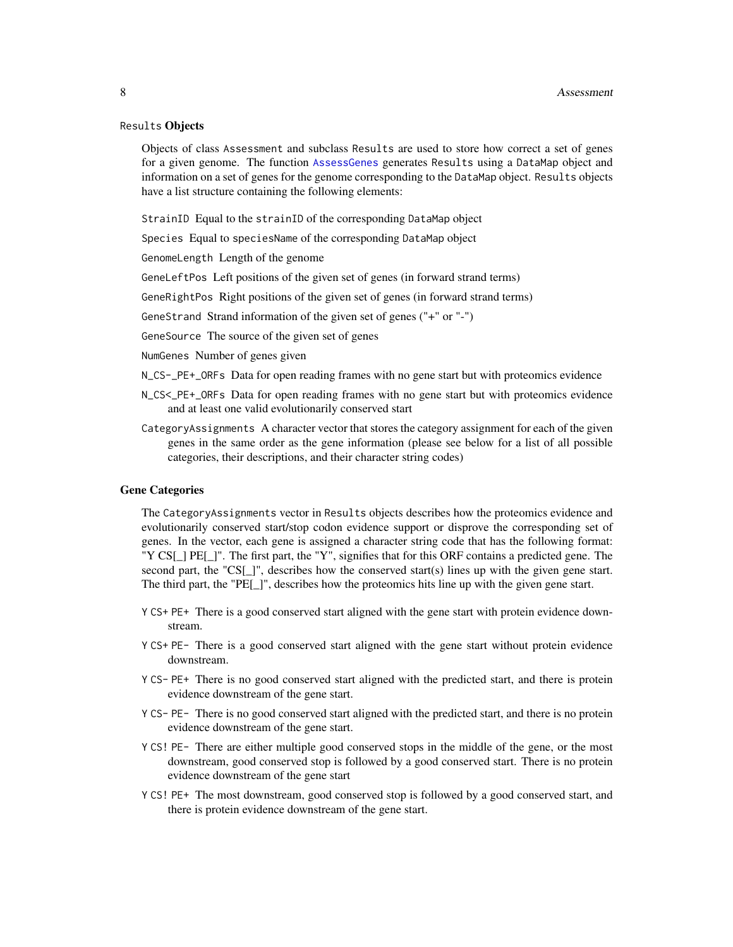#### <span id="page-7-0"></span>Results Objects

Objects of class Assessment and subclass Results are used to store how correct a set of genes for a given genome. The function [AssessGenes](#page-2-1) generates Results using a DataMap object and information on a set of genes for the genome corresponding to the DataMap object. Results objects have a list structure containing the following elements:

StrainID Equal to the strainID of the corresponding DataMap object

Species Equal to speciesName of the corresponding DataMap object

GenomeLength Length of the genome

GeneLeftPos Left positions of the given set of genes (in forward strand terms)

GeneRightPos Right positions of the given set of genes (in forward strand terms)

GeneStrand Strand information of the given set of genes ("+" or "-")

GeneSource The source of the given set of genes

NumGenes Number of genes given

N\_CS-\_PE+\_ORFs Data for open reading frames with no gene start but with proteomics evidence

- N\_CS<\_PE+\_ORFs Data for open reading frames with no gene start but with proteomics evidence and at least one valid evolutionarily conserved start
- CategoryAssignments A character vector that stores the category assignment for each of the given genes in the same order as the gene information (please see below for a list of all possible categories, their descriptions, and their character string codes)

#### Gene Categories

The CategoryAssignments vector in Results objects describes how the proteomics evidence and evolutionarily conserved start/stop codon evidence support or disprove the corresponding set of genes. In the vector, each gene is assigned a character string code that has the following format: "Y CS[\_] PE[\_]". The first part, the "Y", signifies that for this ORF contains a predicted gene. The second part, the "CS[\_]", describes how the conserved start(s) lines up with the given gene start. The third part, the "PE[\_]", describes how the proteomics hits line up with the given gene start.

- Y CS+ PE+ There is a good conserved start aligned with the gene start with protein evidence downstream.
- Y CS+ PE- There is a good conserved start aligned with the gene start without protein evidence downstream.
- Y CS- PE+ There is no good conserved start aligned with the predicted start, and there is protein evidence downstream of the gene start.
- Y CS- PE- There is no good conserved start aligned with the predicted start, and there is no protein evidence downstream of the gene start.
- Y CS! PE- There are either multiple good conserved stops in the middle of the gene, or the most downstream, good conserved stop is followed by a good conserved start. There is no protein evidence downstream of the gene start
- Y CS! PE+ The most downstream, good conserved stop is followed by a good conserved start, and there is protein evidence downstream of the gene start.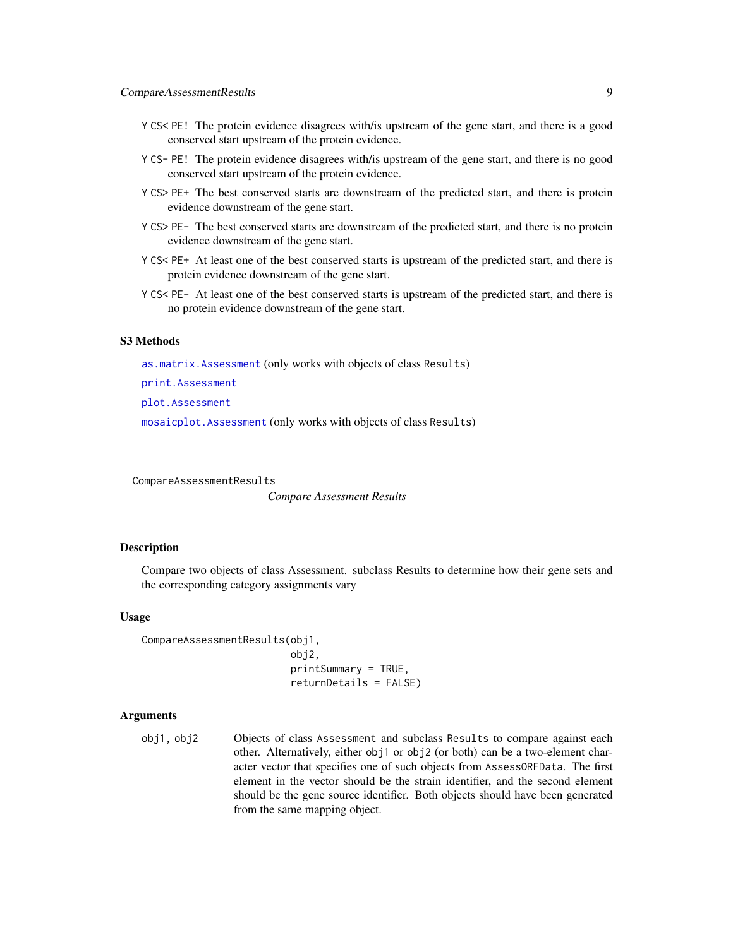- <span id="page-8-0"></span>Y CS< PE! The protein evidence disagrees with/is upstream of the gene start, and there is a good conserved start upstream of the protein evidence.
- Y CS- PE! The protein evidence disagrees with/is upstream of the gene start, and there is no good conserved start upstream of the protein evidence.
- Y CS> PE+ The best conserved starts are downstream of the predicted start, and there is protein evidence downstream of the gene start.
- Y CS> PE- The best conserved starts are downstream of the predicted start, and there is no protein evidence downstream of the gene start.
- Y CS< PE+ At least one of the best conserved starts is upstream of the predicted start, and there is protein evidence downstream of the gene start.
- Y CS< PE- At least one of the best conserved starts is upstream of the predicted start, and there is no protein evidence downstream of the gene start.

#### S3 Methods

[as.matrix.Assessment](#page-1-1) (only works with objects of class Results)

[print.Assessment](#page-18-1)

[plot.Assessment](#page-15-1)

[mosaicplot.Assessment](#page-14-1) (only works with objects of class Results)

CompareAssessmentResults

*Compare Assessment Results*

#### **Description**

Compare two objects of class Assessment. subclass Results to determine how their gene sets and the corresponding category assignments vary

#### Usage

```
CompareAssessmentResults(obj1,
                         obj2,
                         printSummary = TRUE,
                          returnDetails = FALSE)
```
#### Arguments

obj1, obj2 Objects of class Assessment and subclass Results to compare against each other. Alternatively, either obj1 or obj2 (or both) can be a two-element character vector that specifies one of such objects from AssessORFData. The first element in the vector should be the strain identifier, and the second element should be the gene source identifier. Both objects should have been generated from the same mapping object.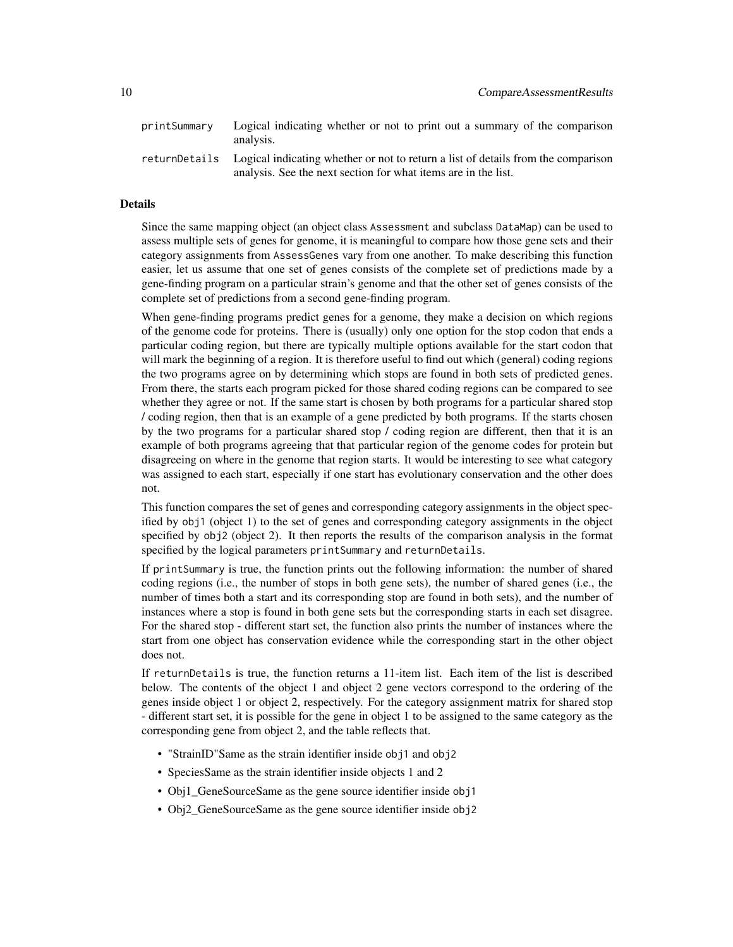| printSummary | Logical indicating whether or not to print out a summary of the comparison<br>analysis.                                                                           |
|--------------|-------------------------------------------------------------------------------------------------------------------------------------------------------------------|
|              | returnDetails Logical indicating whether or not to return a list of details from the comparison<br>analysis. See the next section for what items are in the list. |

#### Details

Since the same mapping object (an object class Assessment and subclass DataMap) can be used to assess multiple sets of genes for genome, it is meaningful to compare how those gene sets and their category assignments from AssessGenes vary from one another. To make describing this function easier, let us assume that one set of genes consists of the complete set of predictions made by a gene-finding program on a particular strain's genome and that the other set of genes consists of the complete set of predictions from a second gene-finding program.

When gene-finding programs predict genes for a genome, they make a decision on which regions of the genome code for proteins. There is (usually) only one option for the stop codon that ends a particular coding region, but there are typically multiple options available for the start codon that will mark the beginning of a region. It is therefore useful to find out which (general) coding regions the two programs agree on by determining which stops are found in both sets of predicted genes. From there, the starts each program picked for those shared coding regions can be compared to see whether they agree or not. If the same start is chosen by both programs for a particular shared stop / coding region, then that is an example of a gene predicted by both programs. If the starts chosen by the two programs for a particular shared stop / coding region are different, then that it is an example of both programs agreeing that that particular region of the genome codes for protein but disagreeing on where in the genome that region starts. It would be interesting to see what category was assigned to each start, especially if one start has evolutionary conservation and the other does not.

This function compares the set of genes and corresponding category assignments in the object specified by obj1 (object 1) to the set of genes and corresponding category assignments in the object specified by obj2 (object 2). It then reports the results of the comparison analysis in the format specified by the logical parameters printSummary and returnDetails.

If printSummary is true, the function prints out the following information: the number of shared coding regions (i.e., the number of stops in both gene sets), the number of shared genes (i.e., the number of times both a start and its corresponding stop are found in both sets), and the number of instances where a stop is found in both gene sets but the corresponding starts in each set disagree. For the shared stop - different start set, the function also prints the number of instances where the start from one object has conservation evidence while the corresponding start in the other object does not.

If returnDetails is true, the function returns a 11-item list. Each item of the list is described below. The contents of the object 1 and object 2 gene vectors correspond to the ordering of the genes inside object 1 or object 2, respectively. For the category assignment matrix for shared stop - different start set, it is possible for the gene in object 1 to be assigned to the same category as the corresponding gene from object 2, and the table reflects that.

- "StrainID"Same as the strain identifier inside obj1 and obj2
- SpeciesSame as the strain identifier inside objects 1 and 2
- Obj1 GeneSourceSame as the gene source identifier inside obj1
- Obj2\_GeneSourceSame as the gene source identifier inside obj2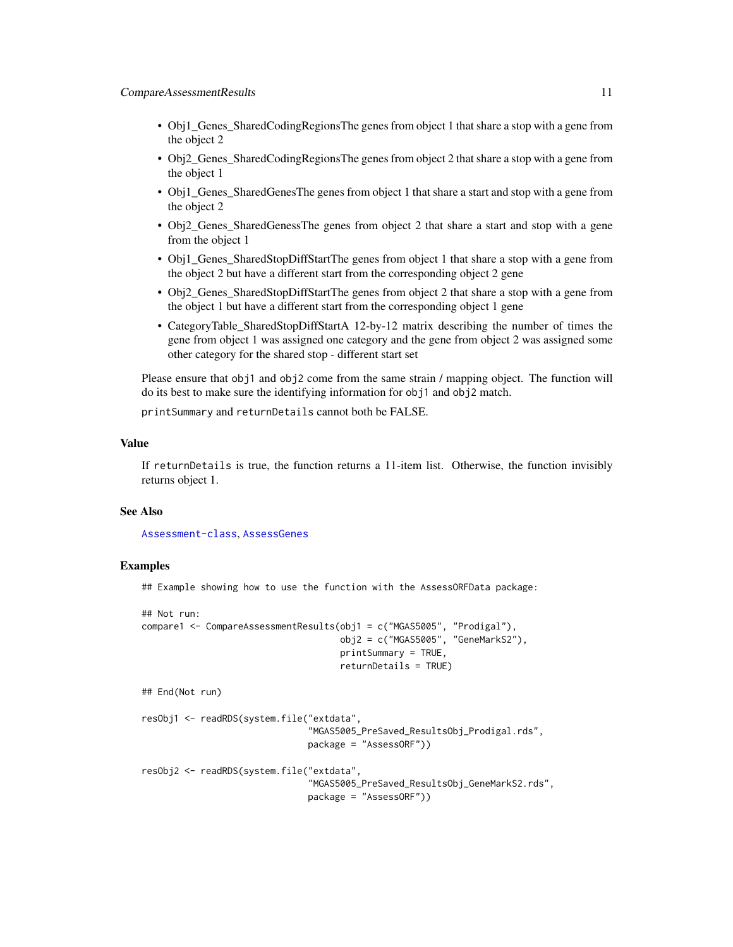- <span id="page-10-0"></span>• Obj1\_Genes\_SharedCodingRegionsThe genes from object 1 that share a stop with a gene from the object 2
- Obj2\_Genes\_SharedCodingRegionsThe genes from object 2 that share a stop with a gene from the object 1
- Obj1 Genes SharedGenesThe genes from object 1 that share a start and stop with a gene from the object 2
- Obj2\_Genes\_SharedGenessThe genes from object 2 that share a start and stop with a gene from the object 1
- Obj1 Genes SharedStopDiffStartThe genes from object 1 that share a stop with a gene from the object 2 but have a different start from the corresponding object 2 gene
- Obj2\_Genes\_SharedStopDiffStartThe genes from object 2 that share a stop with a gene from the object 1 but have a different start from the corresponding object 1 gene
- CategoryTable\_SharedStopDiffStartA 12-by-12 matrix describing the number of times the gene from object 1 was assigned one category and the gene from object 2 was assigned some other category for the shared stop - different start set

Please ensure that obj1 and obj2 come from the same strain / mapping object. The function will do its best to make sure the identifying information for obj1 and obj2 match.

printSummary and returnDetails cannot both be FALSE.

#### Value

If returnDetails is true, the function returns a 11-item list. Otherwise, the function invisibly returns object 1.

#### See Also

[Assessment-class](#page-6-1), [AssessGenes](#page-2-1)

#### Examples

## Example showing how to use the function with the AssessORFData package:

```
## Not run:
compare1 <- CompareAssessmentResults(obj1 = c("MGAS5005", "Prodigal"),
                                     obj2 = c("MGAS5005", "GeneMarkS2"),
                                     printSummary = TRUE,
                                     returnDetails = TRUE)
## End(Not run)
resObj1 <- readRDS(system.file("extdata",
                               "MGAS5005_PreSaved_ResultsObj_Prodigal.rds",
                               package = "AssessORF"))
resObj2 <- readRDS(system.file("extdata",
                               "MGAS5005_PreSaved_ResultsObj_GeneMarkS2.rds",
                               package = "AssessORF"))
```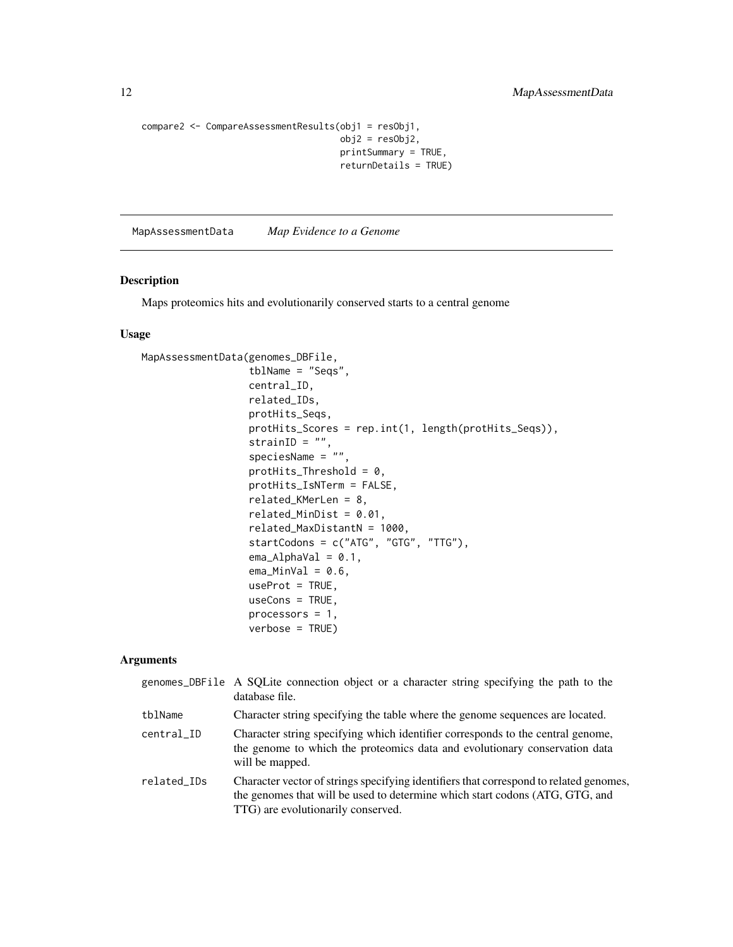```
compare2 <- CompareAssessmentResults(obj1 = resObj1,
                                     obj2 = resObj2,
                                     printSummary = TRUE,
                                     returnDetails = TRUE)
```
<span id="page-11-1"></span>MapAssessmentData *Map Evidence to a Genome*

#### Description

Maps proteomics hits and evolutionarily conserved starts to a central genome

#### Usage

```
MapAssessmentData(genomes_DBFile,
                  tblName = "Seqs",
                  central_ID,
                  related_IDs,
                  protHits_Seqs,
                  protHits_Scores = rep.int(1, length(protHits_Seqs)),
                  strain1D = "",speciesName = "",
                  protHits_Threshold = 0,
                  protHits_IsNTerm = FALSE,
                  related_KMerLen = 8,
                  related_MinDist = 0.01,
                  related_MaxDistantN = 1000,
                  startCodons = c("ATG", "GTG", "TTG"),
                  ema\_AlphaVal = 0.1,
                  ema_MinVal = 0.6,
                  useProt = TRUE,useCons = TRUE,
                  processors = 1,
                  verbose = TRUE)
```
#### Arguments

|             | genomes_DBFile A SQLite connection object or a character string specifying the path to the<br>database file.                                                                                                 |
|-------------|--------------------------------------------------------------------------------------------------------------------------------------------------------------------------------------------------------------|
| tblName     | Character string specifying the table where the genome sequences are located.                                                                                                                                |
| central ID  | Character string specifying which identifier corresponds to the central genome,<br>the genome to which the proteomics data and evolutionary conservation data<br>will be mapped.                             |
| related_IDs | Character vector of strings specifying identifiers that correspond to related genomes,<br>the genomes that will be used to determine which start codons (ATG, GTG, and<br>TTG) are evolutionarily conserved. |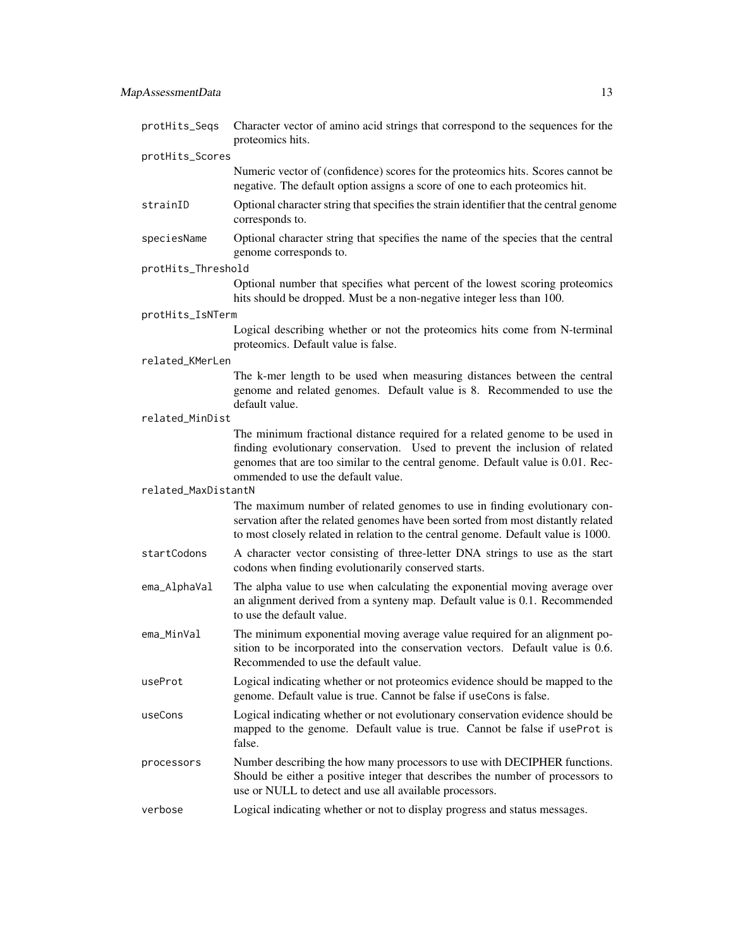| protHits_Seqs       | Character vector of amino acid strings that correspond to the sequences for the<br>proteomics hits.                                                                                                                                                                                 |
|---------------------|-------------------------------------------------------------------------------------------------------------------------------------------------------------------------------------------------------------------------------------------------------------------------------------|
| protHits_Scores     |                                                                                                                                                                                                                                                                                     |
|                     | Numeric vector of (confidence) scores for the proteomics hits. Scores cannot be<br>negative. The default option assigns a score of one to each proteomics hit.                                                                                                                      |
| strainID            | Optional character string that specifies the strain identifier that the central genome<br>corresponds to.                                                                                                                                                                           |
| speciesName         | Optional character string that specifies the name of the species that the central<br>genome corresponds to.                                                                                                                                                                         |
| protHits_Threshold  |                                                                                                                                                                                                                                                                                     |
|                     | Optional number that specifies what percent of the lowest scoring proteomics<br>hits should be dropped. Must be a non-negative integer less than 100.                                                                                                                               |
| protHits_IsNTerm    |                                                                                                                                                                                                                                                                                     |
|                     | Logical describing whether or not the proteomics hits come from N-terminal<br>proteomics. Default value is false.                                                                                                                                                                   |
| related_KMerLen     |                                                                                                                                                                                                                                                                                     |
|                     | The k-mer length to be used when measuring distances between the central<br>genome and related genomes. Default value is 8. Recommended to use the<br>default value.                                                                                                                |
| related_MinDist     |                                                                                                                                                                                                                                                                                     |
|                     | The minimum fractional distance required for a related genome to be used in<br>finding evolutionary conservation. Used to prevent the inclusion of related<br>genomes that are too similar to the central genome. Default value is 0.01. Rec-<br>ommended to use the default value. |
| related_MaxDistantN |                                                                                                                                                                                                                                                                                     |
|                     | The maximum number of related genomes to use in finding evolutionary con-<br>servation after the related genomes have been sorted from most distantly related<br>to most closely related in relation to the central genome. Default value is 1000.                                  |
| startCodons         | A character vector consisting of three-letter DNA strings to use as the start<br>codons when finding evolutionarily conserved starts.                                                                                                                                               |
| ema_AlphaVal        | The alpha value to use when calculating the exponential moving average over<br>an alignment derived from a synteny map. Default value is 0.1. Recommended<br>to use the default value.                                                                                              |
| ema_MinVal          | The minimum exponential moving average value required for an alignment po-<br>sition to be incorporated into the conservation vectors. Default value is 0.6.<br>Recommended to use the default value.                                                                               |
| useProt             | Logical indicating whether or not proteomics evidence should be mapped to the<br>genome. Default value is true. Cannot be false if useCons is false.                                                                                                                                |
| useCons             | Logical indicating whether or not evolutionary conservation evidence should be<br>mapped to the genome. Default value is true. Cannot be false if useProt is<br>false.                                                                                                              |
| processors          | Number describing the how many processors to use with DECIPHER functions.<br>Should be either a positive integer that describes the number of processors to<br>use or NULL to detect and use all available processors.                                                              |
| verbose             | Logical indicating whether or not to display progress and status messages.                                                                                                                                                                                                          |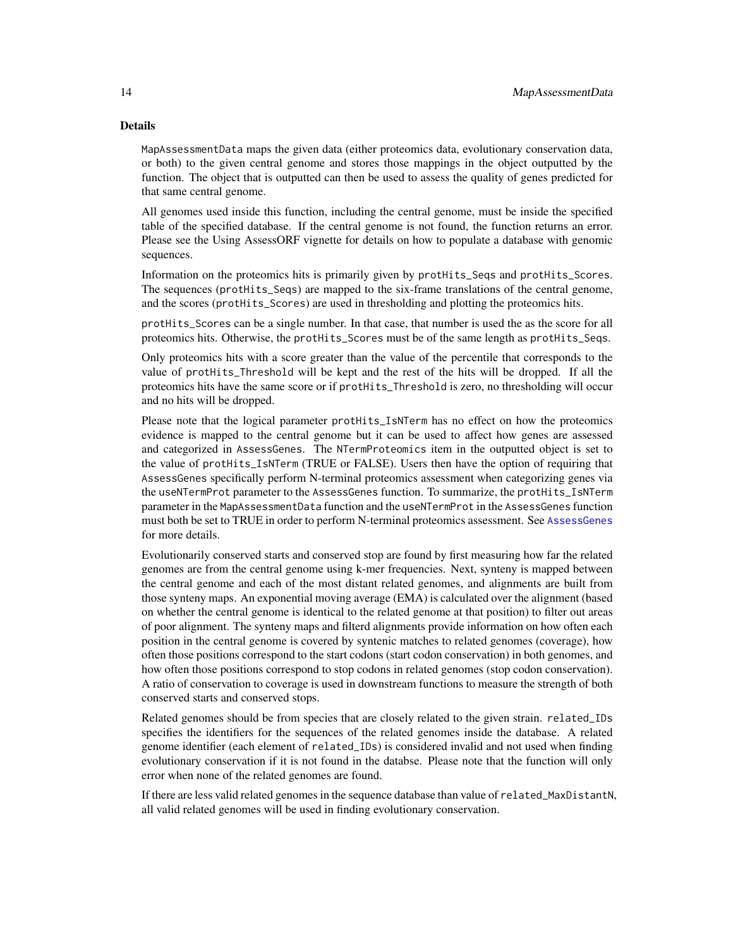#### <span id="page-13-0"></span>Details

MapAssessmentData maps the given data (either proteomics data, evolutionary conservation data, or both) to the given central genome and stores those mappings in the object outputted by the function. The object that is outputted can then be used to assess the quality of genes predicted for that same central genome.

All genomes used inside this function, including the central genome, must be inside the specified table of the specified database. If the central genome is not found, the function returns an error. Please see the Using AssessORF vignette for details on how to populate a database with genomic sequences.

Information on the proteomics hits is primarily given by protHits\_Seqs and protHits\_Scores. The sequences (protHits\_Seqs) are mapped to the six-frame translations of the central genome, and the scores (protHits\_Scores) are used in thresholding and plotting the proteomics hits.

protHits\_Scores can be a single number. In that case, that number is used the as the score for all proteomics hits. Otherwise, the protHits\_Scores must be of the same length as protHits\_Seqs.

Only proteomics hits with a score greater than the value of the percentile that corresponds to the value of protHits\_Threshold will be kept and the rest of the hits will be dropped. If all the proteomics hits have the same score or if protHits\_Threshold is zero, no thresholding will occur and no hits will be dropped.

Please note that the logical parameter protHits\_IsNTerm has no effect on how the proteomics evidence is mapped to the central genome but it can be used to affect how genes are assessed and categorized in AssessGenes. The NTermProteomics item in the outputted object is set to the value of protHits\_IsNTerm (TRUE or FALSE). Users then have the option of requiring that AssessGenes specifically perform N-terminal proteomics assessment when categorizing genes via the useNTermProt parameter to the AssessGenes function. To summarize, the protHits\_IsNTerm parameter in the MapAssessmentData function and the useNTermProt in the AssessGenes function must both be set to TRUE in order to perform N-terminal proteomics assessment. See [AssessGenes](#page-2-1) for more details.

Evolutionarily conserved starts and conserved stop are found by first measuring how far the related genomes are from the central genome using k-mer frequencies. Next, synteny is mapped between the central genome and each of the most distant related genomes, and alignments are built from those synteny maps. An exponential moving average (EMA) is calculated over the alignment (based on whether the central genome is identical to the related genome at that position) to filter out areas of poor alignment. The synteny maps and filterd alignments provide information on how often each position in the central genome is covered by syntenic matches to related genomes (coverage), how often those positions correspond to the start codons (start codon conservation) in both genomes, and how often those positions correspond to stop codons in related genomes (stop codon conservation). A ratio of conservation to coverage is used in downstream functions to measure the strength of both conserved starts and conserved stops.

Related genomes should be from species that are closely related to the given strain. related\_IDs specifies the identifiers for the sequences of the related genomes inside the database. A related genome identifier (each element of related\_IDs) is considered invalid and not used when finding evolutionary conservation if it is not found in the databse. Please note that the function will only error when none of the related genomes are found.

If there are less valid related genomes in the sequence database than value of related\_MaxDistantN, all valid related genomes will be used in finding evolutionary conservation.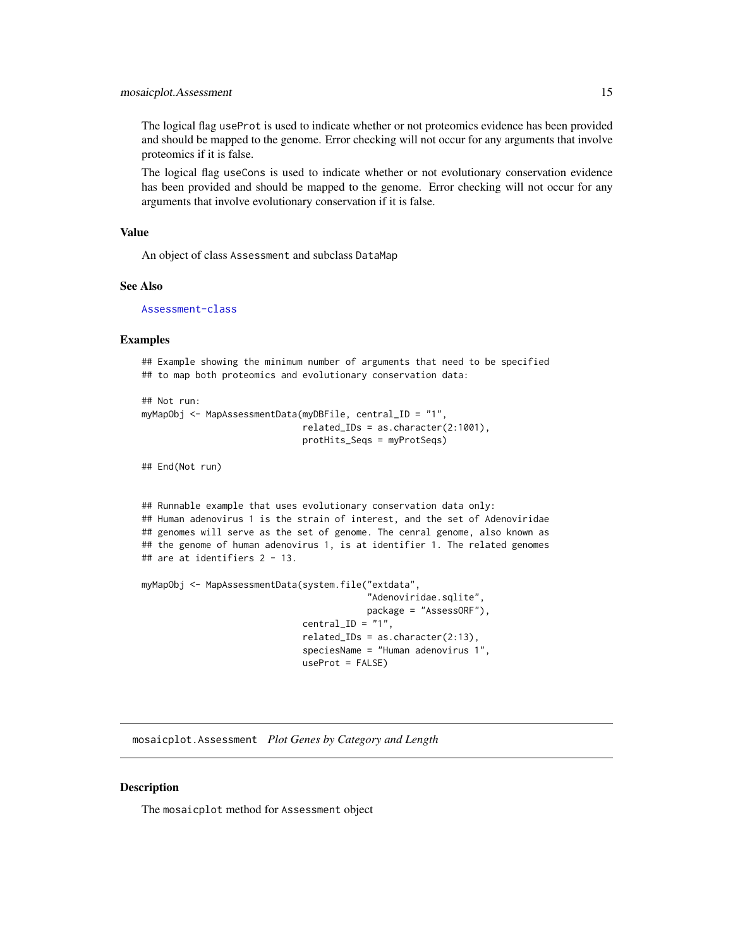<span id="page-14-0"></span>The logical flag useProt is used to indicate whether or not proteomics evidence has been provided and should be mapped to the genome. Error checking will not occur for any arguments that involve proteomics if it is false.

The logical flag useCons is used to indicate whether or not evolutionary conservation evidence has been provided and should be mapped to the genome. Error checking will not occur for any arguments that involve evolutionary conservation if it is false.

#### Value

An object of class Assessment and subclass DataMap

#### See Also

[Assessment-class](#page-6-1)

#### Examples

## Example showing the minimum number of arguments that need to be specified ## to map both proteomics and evolutionary conservation data:

```
## Not run:
myMapObj <- MapAssessmentData(myDBFile, central_ID = "1",
                              related_IDs = as.character(2:1001),
                              protHits_Seqs = myProtSeqs)
```
## End(Not run)

```
## Runnable example that uses evolutionary conservation data only:
## Human adenovirus 1 is the strain of interest, and the set of Adenoviridae
## genomes will serve as the set of genome. The cenral genome, also known as
## the genome of human adenovirus 1, is at identifier 1. The related genomes
## are at identifiers 2 - 13.
```

```
myMapObj <- MapAssessmentData(system.file("extdata",
                                           "Adenoviridae.sqlite",
                                           package = "AssessORF"),
                              central\_ID = "1",related_IDS = as.charAtacter(2:13),speciesName = "Human adenovirus 1",
                              useProt = FALSE)
```
<span id="page-14-1"></span>mosaicplot.Assessment *Plot Genes by Category and Length*

#### **Description**

The mosaicplot method for Assessment object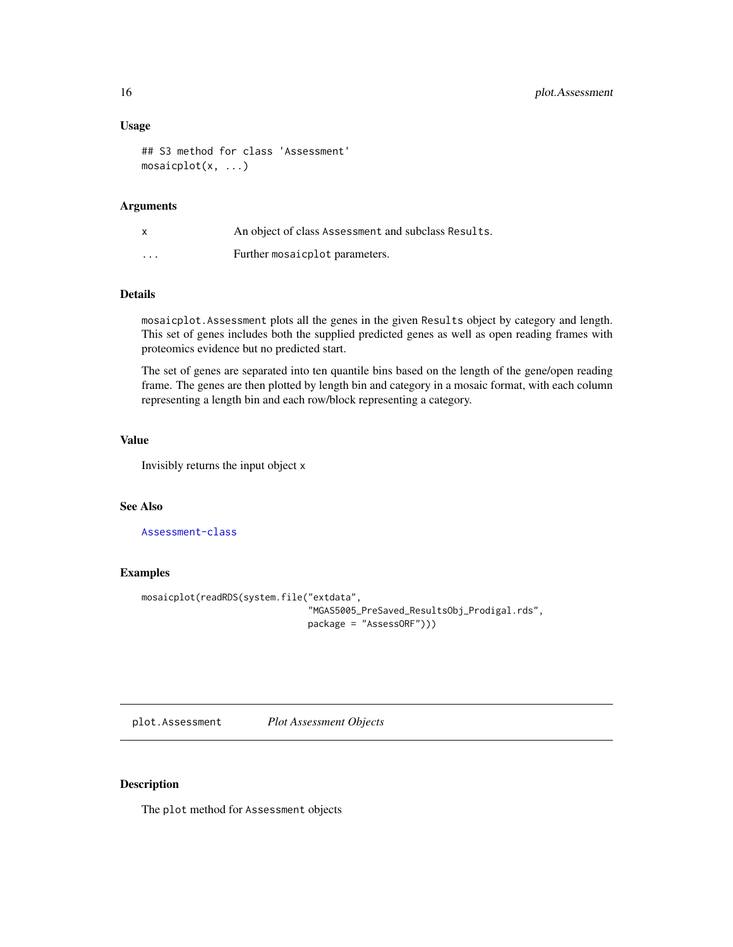#### Usage

```
## S3 method for class 'Assessment'
mosaicplot(x, ...)
```
#### Arguments

| X        | An object of class Assessment and subclass Results. |
|----------|-----------------------------------------------------|
| $\cdots$ | Further mosaic plot parameters.                     |

#### Details

mosaicplot.Assessment plots all the genes in the given Results object by category and length. This set of genes includes both the supplied predicted genes as well as open reading frames with proteomics evidence but no predicted start.

The set of genes are separated into ten quantile bins based on the length of the gene/open reading frame. The genes are then plotted by length bin and category in a mosaic format, with each column representing a length bin and each row/block representing a category.

#### Value

Invisibly returns the input object x

#### See Also

[Assessment-class](#page-6-1)

#### Examples

```
mosaicplot(readRDS(system.file("extdata",
                               "MGAS5005_PreSaved_ResultsObj_Prodigal.rds",
                               package = "AssessORF")))
```
<span id="page-15-1"></span>plot.Assessment *Plot Assessment Objects*

#### Description

The plot method for Assessment objects

<span id="page-15-0"></span>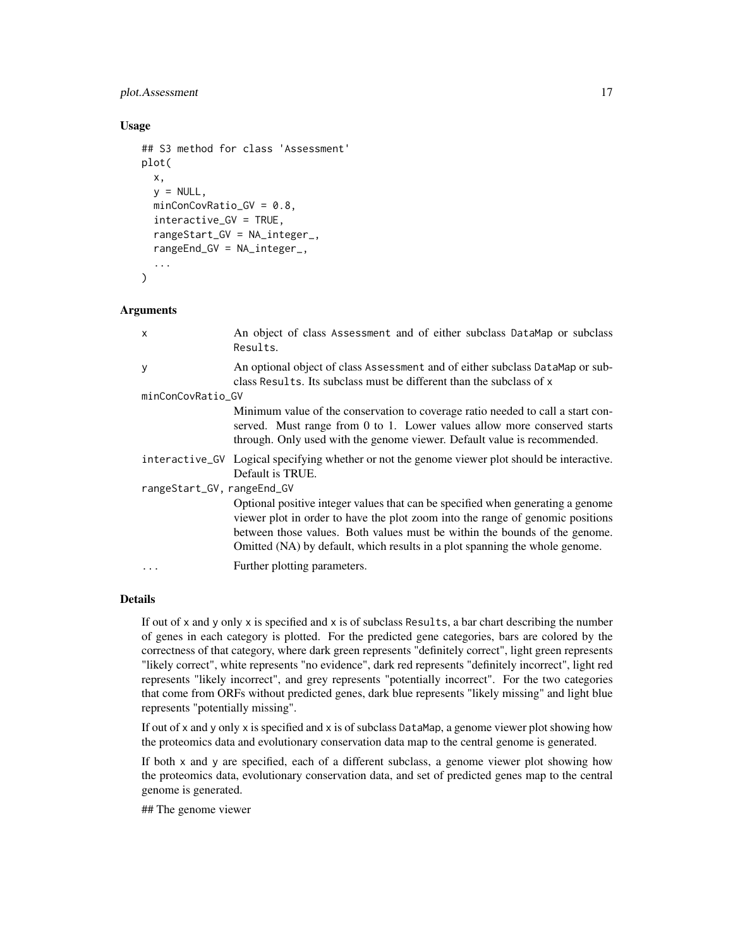#### plot.Assessment 17

#### Usage

```
## S3 method for class 'Assessment'
plot(
  x,
  y = NULL,minConCovRatio_GV = 0.8,
  interactive_GV = TRUE,
  rangeStart_GV = NA_integer_,
  rangeEnd_GV = NA_integer_,
  ...
)
```
#### **Arguments**

| x                          | An object of class Assessment and of either subclass DataMap or subclass<br>Results.                                                                                                                                                                                                                                           |  |
|----------------------------|--------------------------------------------------------------------------------------------------------------------------------------------------------------------------------------------------------------------------------------------------------------------------------------------------------------------------------|--|
| У                          | An optional object of class Assessment and of either subclass DataMap or sub-<br>class Results. Its subclass must be different than the subclass of x                                                                                                                                                                          |  |
| minConCovRatio_GV          |                                                                                                                                                                                                                                                                                                                                |  |
|                            | Minimum value of the conservation to coverage ratio needed to call a start con-<br>served. Must range from 0 to 1. Lower values allow more conserved starts<br>through. Only used with the genome viewer. Default value is recommended.                                                                                        |  |
|                            | interactive_GV Logical specifying whether or not the genome viewer plot should be interactive.<br>Default is TRUE.                                                                                                                                                                                                             |  |
| rangeStart_GV, rangeEnd_GV |                                                                                                                                                                                                                                                                                                                                |  |
|                            | Optional positive integer values that can be specified when generating a genome<br>viewer plot in order to have the plot zoom into the range of genomic positions<br>between those values. Both values must be within the bounds of the genome.<br>Omitted (NA) by default, which results in a plot spanning the whole genome. |  |
| $\ddots$                   | Further plotting parameters.                                                                                                                                                                                                                                                                                                   |  |

#### Details

If out of x and y only x is specified and x is of subclass Results, a bar chart describing the number of genes in each category is plotted. For the predicted gene categories, bars are colored by the correctness of that category, where dark green represents "definitely correct", light green represents "likely correct", white represents "no evidence", dark red represents "definitely incorrect", light red represents "likely incorrect", and grey represents "potentially incorrect". For the two categories that come from ORFs without predicted genes, dark blue represents "likely missing" and light blue represents "potentially missing".

If out of x and y only x is specified and x is of subclass DataMap, a genome viewer plot showing how the proteomics data and evolutionary conservation data map to the central genome is generated.

If both x and y are specified, each of a different subclass, a genome viewer plot showing how the proteomics data, evolutionary conservation data, and set of predicted genes map to the central genome is generated.

## The genome viewer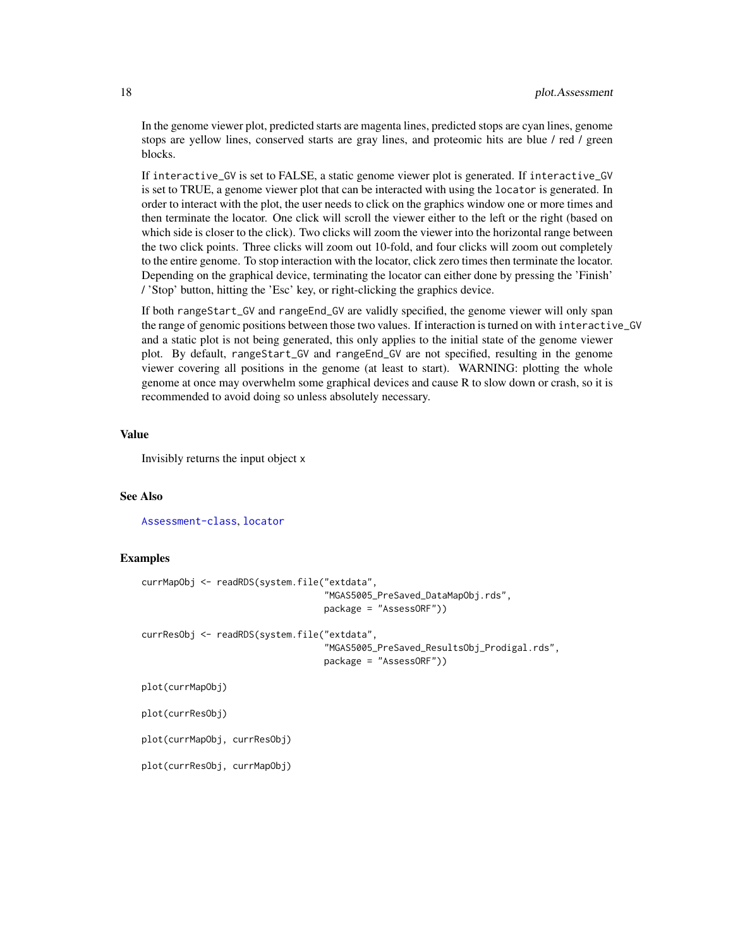In the genome viewer plot, predicted starts are magenta lines, predicted stops are cyan lines, genome stops are yellow lines, conserved starts are gray lines, and proteomic hits are blue / red / green blocks.

If interactive\_GV is set to FALSE, a static genome viewer plot is generated. If interactive\_GV is set to TRUE, a genome viewer plot that can be interacted with using the locator is generated. In order to interact with the plot, the user needs to click on the graphics window one or more times and then terminate the locator. One click will scroll the viewer either to the left or the right (based on which side is closer to the click). Two clicks will zoom the viewer into the horizontal range between the two click points. Three clicks will zoom out 10-fold, and four clicks will zoom out completely to the entire genome. To stop interaction with the locator, click zero times then terminate the locator. Depending on the graphical device, terminating the locator can either done by pressing the 'Finish' / 'Stop' button, hitting the 'Esc' key, or right-clicking the graphics device.

If both rangeStart\_GV and rangeEnd\_GV are validly specified, the genome viewer will only span the range of genomic positions between those two values. If interaction is turned on with interactive\_GV and a static plot is not being generated, this only applies to the initial state of the genome viewer plot. By default, rangeStart\_GV and rangeEnd\_GV are not specified, resulting in the genome viewer covering all positions in the genome (at least to start). WARNING: plotting the whole genome at once may overwhelm some graphical devices and cause R to slow down or crash, so it is recommended to avoid doing so unless absolutely necessary.

#### Value

Invisibly returns the input object x

#### See Also

[Assessment-class](#page-6-1), [locator](#page-0-0)

#### Examples

```
currMapObj <- readRDS(system.file("extdata",
                                  "MGAS5005_PreSaved_DataMapObj.rds",
                                  package = "AssessORF"))
currResObj <- readRDS(system.file("extdata",
                                   "MGAS5005_PreSaved_ResultsObj_Prodigal.rds",
                                  package = "AssessORF"))
plot(currMapObj)
plot(currResObj)
```
plot(currMapObj, currResObj)

plot(currResObj, currMapObj)

<span id="page-17-0"></span>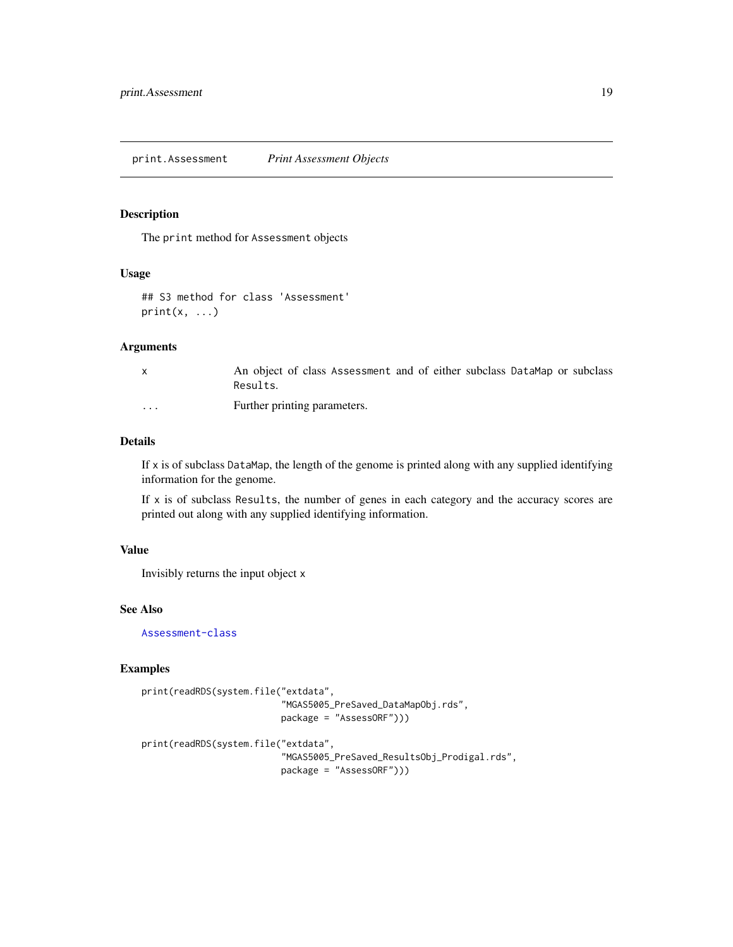#### <span id="page-18-1"></span><span id="page-18-0"></span>Description

The print method for Assessment objects

#### Usage

```
## S3 method for class 'Assessment'
print(x, \ldots)
```
#### Arguments

|          | An object of class Assessment and of either subclass DataMap or subclass<br>Results. |
|----------|--------------------------------------------------------------------------------------|
| $\cdots$ | Further printing parameters.                                                         |

#### Details

If  $x$  is of subclass DataMap, the length of the genome is printed along with any supplied identifying information for the genome.

If  $x$  is of subclass Results, the number of genes in each category and the accuracy scores are printed out along with any supplied identifying information.

#### Value

Invisibly returns the input object x

#### See Also

[Assessment-class](#page-6-1)

#### Examples

```
print(readRDS(system.file("extdata",
                          "MGAS5005_PreSaved_DataMapObj.rds",
                          package = "AssessORF")))
```

```
print(readRDS(system.file("extdata",
```

```
"MGAS5005_PreSaved_ResultsObj_Prodigal.rds",
package = "AssessORF")))
```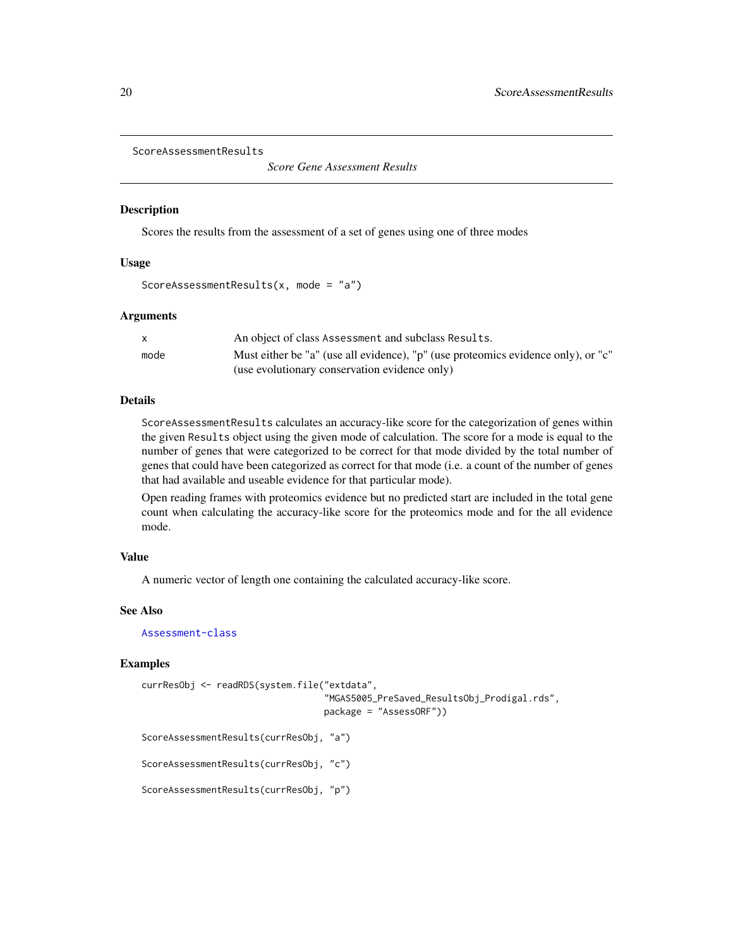```
ScoreAssessmentResults
```
*Score Gene Assessment Results*

#### Description

Scores the results from the assessment of a set of genes using one of three modes

#### Usage

```
ScoreAssessmentResults(x, mode = "a")
```
#### Arguments

|      | An object of class Assessment and subclass Results.                               |
|------|-----------------------------------------------------------------------------------|
| mode | Must either be "a" (use all evidence), "p" (use proteomics evidence only), or "c" |
|      | (use evolutionary conservation evidence only)                                     |

#### Details

ScoreAssessmentResults calculates an accuracy-like score for the categorization of genes within the given Results object using the given mode of calculation. The score for a mode is equal to the number of genes that were categorized to be correct for that mode divided by the total number of genes that could have been categorized as correct for that mode (i.e. a count of the number of genes that had available and useable evidence for that particular mode).

Open reading frames with proteomics evidence but no predicted start are included in the total gene count when calculating the accuracy-like score for the proteomics mode and for the all evidence mode.

#### Value

A numeric vector of length one containing the calculated accuracy-like score.

#### See Also

[Assessment-class](#page-6-1)

#### Examples

```
currResObj <- readRDS(system.file("extdata",
                                  "MGAS5005_PreSaved_ResultsObj_Prodigal.rds",
                                  package = "AssessORF"))
ScoreAssessmentResults(currResObj, "a")
ScoreAssessmentResults(currResObj, "c")
```
ScoreAssessmentResults(currResObj, "p")